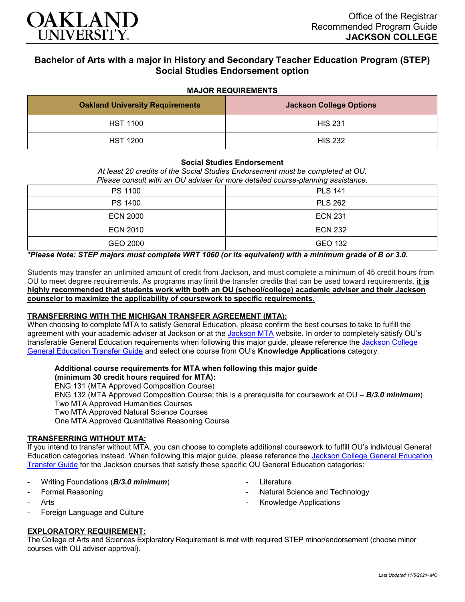

# **Bachelor of Arts with a major in History and Secondary Teacher Education Program (STEP) Social Studies Endorsement option**

## **MAJOR REQUIREMENTS**

| <b>Oakland University Requirements</b> | <b>Jackson College Options</b> |
|----------------------------------------|--------------------------------|
| <b>HST 1100</b>                        | <b>HIS 231</b>                 |
| <b>HST 1200</b>                        | <b>HIS 232</b>                 |

#### **Social Studies Endorsement**

*At least 20 credits of the Social Studies Endorsement must be completed at OU.* 

*Please consult with an OU adviser for more detailed course-planning assistance.*

| PS 1100         | <b>PLS 141</b> |
|-----------------|----------------|
| PS 1400         | <b>PLS 262</b> |
| <b>ECN 2000</b> | <b>ECN 231</b> |
| <b>ECN 2010</b> | <b>ECN 232</b> |
| GEO 2000        | GEO 132        |

*\*Please Note: STEP majors must complete WRT 1060 (or its equivalent) with a minimum grade of B or 3.0.*

Students may transfer an unlimited amount of credit from Jackson, and must complete a minimum of 45 credit hours from OU to meet degree requirements. As programs may limit the transfer credits that can be used toward requirements, **it is highly recommended that students work with both an OU (school/college) academic adviser and their Jackson counselor to maximize the applicability of coursework to specific requirements.**

### **TRANSFERRING WITH THE MICHIGAN TRANSFER AGREEMENT (MTA):**

When choosing to complete MTA to satisfy General Education, please confirm the best courses to take to fulfill the agreement with your academic adviser at [Jackson](https://www.jccmi.edu/transfer/michigan-transfer-agreement/) or at the Jackson MTA website. In order to completely satisfy OU's transferable General Education requirements when following this major guide, please reference the Jackson College [General Education Transfer Guide](https://www.oakland.edu/Assets/Oakland/program-guides/jackson-college/university-general-education-requirements/Jackson%20Gen%20Ed.pdf) and select one course from OU's **Knowledge Applications** category.

#### **Additional course requirements for MTA when following this major guide (minimum 30 credit hours required for MTA):**

ENG 131 (MTA Approved Composition Course)

ENG 132 (MTA Approved Composition Course; this is a prerequisite for coursework at OU – *B/3.0 minimum*) Two MTA Approved Humanities Courses

Two MTA Approved Natural Science Courses

One MTA Approved Quantitative Reasoning Course

# **TRANSFERRING WITHOUT MTA:**

If you intend to transfer without MTA, you can choose to complete additional coursework to fulfill OU's individual General Education categories instead. When following this major guide, please reference the [Jackson College General Education](https://www.oakland.edu/Assets/Oakland/program-guides/jackson-college/university-general-education-requirements/Jackson%20Gen%20Ed.pdf)  [Transfer Guide](https://www.oakland.edu/Assets/Oakland/program-guides/jackson-college/university-general-education-requirements/Jackson%20Gen%20Ed.pdf) for the Jackson courses that satisfy these specific OU General Education categories:

- Writing Foundations (*B/3.0 minimum*)
- Formal Reasoning
- **Arts**
- Foreign Language and Culture

# **EXPLORATORY REQUIREMENT:**

The College of Arts and Sciences Exploratory Requirement is met with required STEP minor/endorsement (choose minor courses with OU adviser approval).

- **Literature**
- Natural Science and Technology
- Knowledge Applications